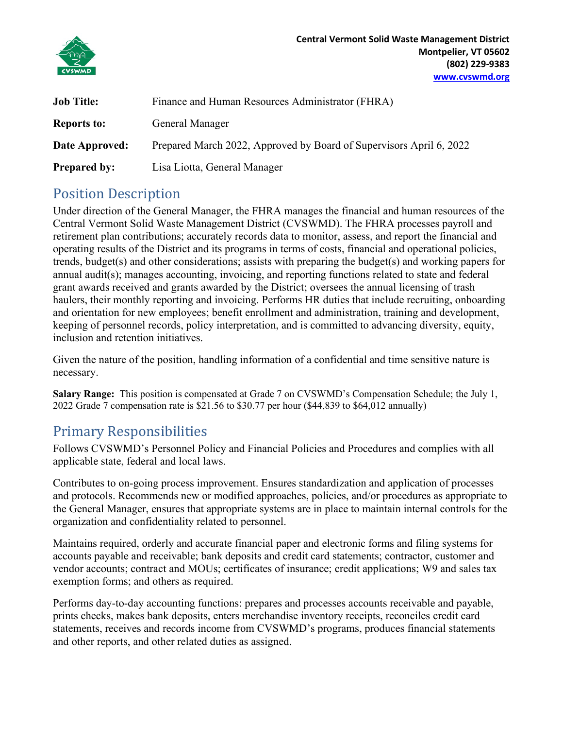

| Job Title:          | Finance and Human Resources Administrator (FHRA)                    |
|---------------------|---------------------------------------------------------------------|
| <b>Reports to:</b>  | General Manager                                                     |
| Date Approved:      | Prepared March 2022, Approved by Board of Supervisors April 6, 2022 |
| <b>Prepared by:</b> | Lisa Liotta, General Manager                                        |

## Position Description

Under direction of the General Manager, the FHRA manages the financial and human resources of the Central Vermont Solid Waste Management District (CVSWMD). The FHRA processes payroll and retirement plan contributions; accurately records data to monitor, assess, and report the financial and operating results of the District and its programs in terms of costs, financial and operational policies, trends, budget(s) and other considerations; assists with preparing the budget(s) and working papers for annual audit(s); manages accounting, invoicing, and reporting functions related to state and federal grant awards received and grants awarded by the District; oversees the annual licensing of trash haulers, their monthly reporting and invoicing. Performs HR duties that include recruiting, onboarding and orientation for new employees; benefit enrollment and administration, training and development, keeping of personnel records, policy interpretation, and is committed to advancing diversity, equity, inclusion and retention initiatives.

Given the nature of the position, handling information of a confidential and time sensitive nature is necessary.

**Salary Range:** This position is compensated at Grade 7 on CVSWMD's Compensation Schedule; the July 1, 2022 Grade 7 compensation rate is \$21.56 to \$30.77 per hour (\$44,839 to \$64,012 annually)

## Primary Responsibilities

Follows CVSWMD's Personnel Policy and Financial Policies and Procedures and complies with all applicable state, federal and local laws.

Contributes to on-going process improvement. Ensures standardization and application of processes and protocols. Recommends new or modified approaches, policies, and/or procedures as appropriate to the General Manager, ensures that appropriate systems are in place to maintain internal controls for the organization and confidentiality related to personnel.

Maintains required, orderly and accurate financial paper and electronic forms and filing systems for accounts payable and receivable; bank deposits and credit card statements; contractor, customer and vendor accounts; contract and MOUs; certificates of insurance; credit applications; W9 and sales tax exemption forms; and others as required.

Performs day-to-day accounting functions: prepares and processes accounts receivable and payable, prints checks, makes bank deposits, enters merchandise inventory receipts, reconciles credit card statements, receives and records income from CVSWMD's programs, produces financial statements and other reports, and other related duties as assigned.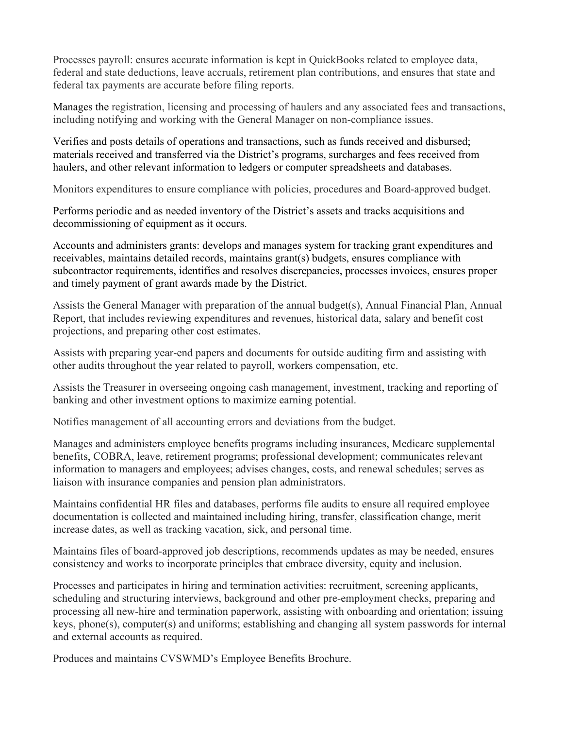Processes payroll: ensures accurate information is kept in QuickBooks related to employee data, federal and state deductions, leave accruals, retirement plan contributions, and ensures that state and federal tax payments are accurate before filing reports.

Manages the registration, licensing and processing of haulers and any associated fees and transactions, including notifying and working with the General Manager on non-compliance issues.

Verifies and posts details of operations and transactions, such as funds received and disbursed; materials received and transferred via the District's programs, surcharges and fees received from haulers, and other relevant information to ledgers or computer spreadsheets and databases.

Monitors expenditures to ensure compliance with policies, procedures and Board-approved budget.

Performs periodic and as needed inventory of the District's assets and tracks acquisitions and decommissioning of equipment as it occurs.

Accounts and administers grants: develops and manages system for tracking grant expenditures and receivables, maintains detailed records, maintains grant(s) budgets, ensures compliance with subcontractor requirements, identifies and resolves discrepancies, processes invoices, ensures proper and timely payment of grant awards made by the District.

Assists the General Manager with preparation of the annual budget(s), Annual Financial Plan, Annual Report, that includes reviewing expenditures and revenues, historical data, salary and benefit cost projections, and preparing other cost estimates.

Assists with preparing year-end papers and documents for outside auditing firm and assisting with other audits throughout the year related to payroll, workers compensation, etc.

Assists the Treasurer in overseeing ongoing cash management, investment, tracking and reporting of banking and other investment options to maximize earning potential.

Notifies management of all accounting errors and deviations from the budget.

Manages and administers employee benefits programs including insurances, Medicare supplemental benefits, COBRA, leave, retirement programs; professional development; communicates relevant information to managers and employees; advises changes, costs, and renewal schedules; serves as liaison with insurance companies and pension plan administrators.

Maintains confidential HR files and databases, performs file audits to ensure all required employee documentation is collected and maintained including hiring, transfer, classification change, merit increase dates, as well as tracking vacation, sick, and personal time.

Maintains files of board-approved job descriptions, recommends updates as may be needed, ensures consistency and works to incorporate principles that embrace diversity, equity and inclusion.

Processes and participates in hiring and termination activities: recruitment, screening applicants, scheduling and structuring interviews, background and other pre-employment checks, preparing and processing all new-hire and termination paperwork, assisting with onboarding and orientation; issuing keys, phone(s), computer(s) and uniforms; establishing and changing all system passwords for internal and external accounts as required.

Produces and maintains CVSWMD's Employee Benefits Brochure.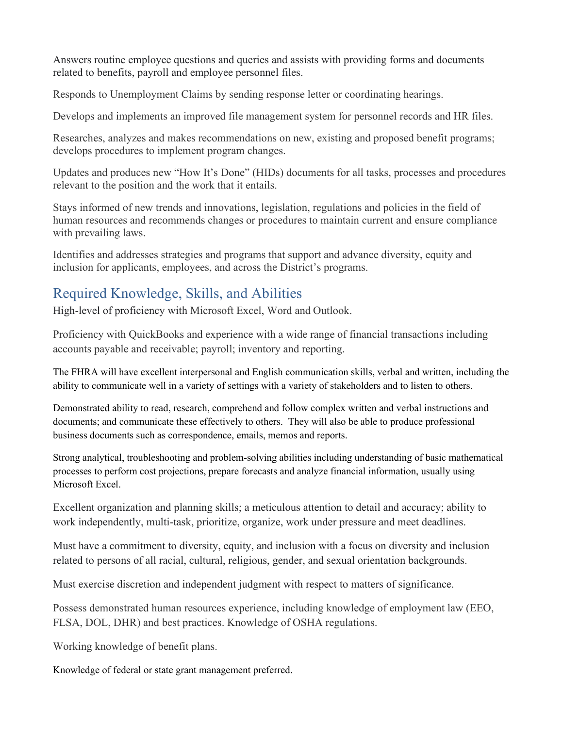Answers routine employee questions and queries and assists with providing forms and documents related to benefits, payroll and employee personnel files.

Responds to Unemployment Claims by sending response letter or coordinating hearings.

Develops and implements an improved file management system for personnel records and HR files.

Researches, analyzes and makes recommendations on new, existing and proposed benefit programs; develops procedures to implement program changes.

Updates and produces new "How It's Done" (HIDs) documents for all tasks, processes and procedures relevant to the position and the work that it entails.

Stays informed of new trends and innovations, legislation, regulations and policies in the field of human resources and recommends changes or procedures to maintain current and ensure compliance with prevailing laws.

Identifies and addresses strategies and programs that support and advance diversity, equity and inclusion for applicants, employees, and across the District's programs.

# Required Knowledge, Skills, and Abilities

High-level of proficiency with Microsoft Excel, Word and Outlook.

Proficiency with QuickBooks and experience with a wide range of financial transactions including accounts payable and receivable; payroll; inventory and reporting.

The FHRA will have excellent interpersonal and English communication skills, verbal and written, including the ability to communicate well in a variety of settings with a variety of stakeholders and to listen to others.

Demonstrated ability to read, research, comprehend and follow complex written and verbal instructions and documents; and communicate these effectively to others. They will also be able to produce professional business documents such as correspondence, emails, memos and reports.

Strong analytical, troubleshooting and problem-solving abilities including understanding of basic mathematical processes to perform cost projections, prepare forecasts and analyze financial information, usually using Microsoft Excel.

Excellent organization and planning skills; a meticulous attention to detail and accuracy; ability to work independently, multi-task, prioritize, organize, work under pressure and meet deadlines.

Must have a commitment to diversity, equity, and inclusion with a focus on diversity and inclusion related to persons of all racial, cultural, religious, gender, and sexual orientation backgrounds.

Must exercise discretion and independent judgment with respect to matters of significance.

Possess demonstrated human resources experience, including knowledge of employment law (EEO, FLSA, DOL, DHR) and best practices. Knowledge of OSHA regulations.

Working knowledge of benefit plans.

Knowledge of federal or state grant management preferred.